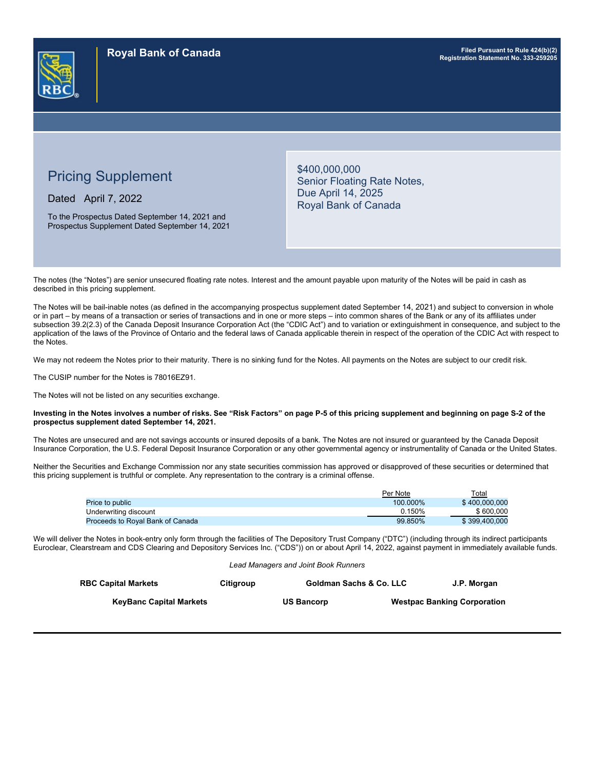

# Pricing Supplement

Dated April 7, 2022

To the Prospectus Dated September 14, 2021 and Prospectus Supplement Dated September 14, 2021 \$400,000,000 Senior Floating Rate Notes, Due April 14, 2025 Royal Bank of Canada

The notes (the "Notes") are senior unsecured floating rate notes. Interest and the amount payable upon maturity of the Notes will be paid in cash as described in this pricing supplement.

The Notes will be bail-inable notes (as defined in the accompanying prospectus supplement dated September 14, 2021) and subject to conversion in whole or in part – by means of a transaction or series of transactions and in one or more steps – into common shares of the Bank or any of its affiliates under subsection 39.2(2.3) of the Canada Deposit Insurance Corporation Act (the "CDIC Act") and to variation or extinguishment in consequence, and subject to the application of the laws of the Province of Ontario and the federal laws of Canada applicable therein in respect of the operation of the CDIC Act with respect to the Notes.

We may not redeem the Notes prior to their maturity. There is no sinking fund for the Notes. All payments on the Notes are subject to our credit risk.

The CUSIP number for the Notes is 78016EZ91.

The Notes will not be listed on any securities exchange.

#### **Investing in the Notes involves a number of risks. See "Risk Factors" on page P-5 of this pricing supplement and beginning on page S-2 of the prospectus supplement dated September 14, 2021.**

The Notes are unsecured and are not savings accounts or insured deposits of a bank. The Notes are not insured or guaranteed by the Canada Deposit Insurance Corporation, the U.S. Federal Deposit Insurance Corporation or any other governmental agency or instrumentality of Canada or the United States.

Neither the Securities and Exchange Commission nor any state securities commission has approved or disapproved of these securities or determined that this pricing supplement is truthful or complete. Any representation to the contrary is a criminal offense.

|                                  | Per Note | Total         |
|----------------------------------|----------|---------------|
| <b>Price to public</b>           | 100.000% | \$400,000,000 |
| Underwriting discount            | 0.150%   | \$600,000     |
| Proceeds to Roval Bank of Canada | 99.850%  | \$399.400.000 |

We will deliver the Notes in book-entry only form through the facilities of The Depository Trust Company ("DTC") (including through its indirect participants Euroclear, Clearstream and CDS Clearing and Depository Services Inc. ("CDS")) on or about April 14, 2022, against payment in immediately available funds.

*Lead Managers and Joint Book Runners*

| <b>RBC Capital Markets</b>     | Citiaroup | <b>Goldman Sachs &amp; Co. LLC</b> | J.P. Morgan                        |
|--------------------------------|-----------|------------------------------------|------------------------------------|
| <b>KeyBanc Capital Markets</b> |           | <b>US Bancorp</b>                  | <b>Westpac Banking Corporation</b> |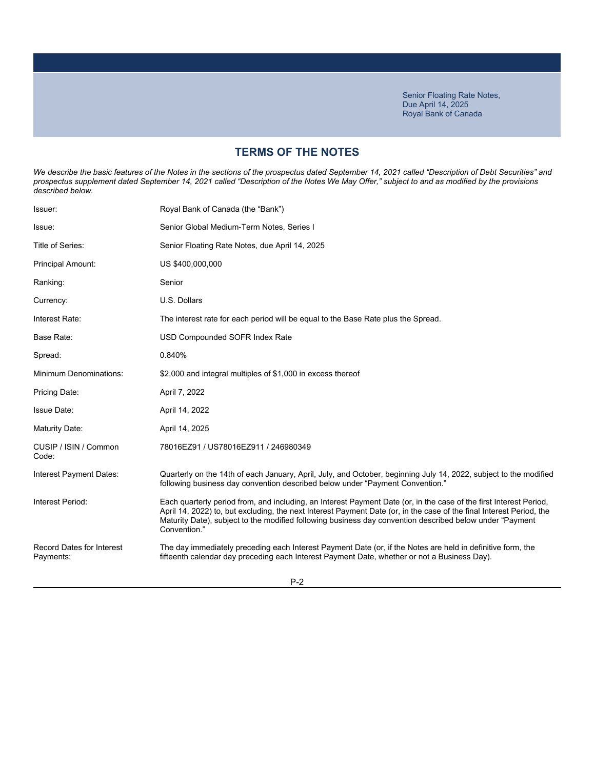# **TERMS OF THE NOTES**

We describe the basic features of the Notes in the sections of the prospectus dated September 14, 2021 called "Description of Debt Securities" and *prospectus supplement dated September 14, 2021 called "Description of the Notes We May Offer," subject to and as modified by the provisions described below.*

| Issuer:                                       | Royal Bank of Canada (the "Bank")                                                                                                                                                                                                                                                                                                                                      |
|-----------------------------------------------|------------------------------------------------------------------------------------------------------------------------------------------------------------------------------------------------------------------------------------------------------------------------------------------------------------------------------------------------------------------------|
| Issue:                                        | Senior Global Medium-Term Notes, Series I                                                                                                                                                                                                                                                                                                                              |
| Title of Series:                              | Senior Floating Rate Notes, due April 14, 2025                                                                                                                                                                                                                                                                                                                         |
| Principal Amount:                             | US \$400,000,000                                                                                                                                                                                                                                                                                                                                                       |
| Ranking:                                      | Senior                                                                                                                                                                                                                                                                                                                                                                 |
| Currency:                                     | U.S. Dollars                                                                                                                                                                                                                                                                                                                                                           |
| Interest Rate:                                | The interest rate for each period will be equal to the Base Rate plus the Spread.                                                                                                                                                                                                                                                                                      |
| Base Rate:                                    | USD Compounded SOFR Index Rate                                                                                                                                                                                                                                                                                                                                         |
| Spread:                                       | 0.840%                                                                                                                                                                                                                                                                                                                                                                 |
| <b>Minimum Denominations:</b>                 | \$2,000 and integral multiples of \$1,000 in excess thereof                                                                                                                                                                                                                                                                                                            |
| Pricing Date:                                 | April 7, 2022                                                                                                                                                                                                                                                                                                                                                          |
| <b>Issue Date:</b>                            | April 14, 2022                                                                                                                                                                                                                                                                                                                                                         |
| Maturity Date:                                | April 14, 2025                                                                                                                                                                                                                                                                                                                                                         |
| CUSIP / ISIN / Common<br>Code:                | 78016EZ91 / US78016EZ911 / 246980349                                                                                                                                                                                                                                                                                                                                   |
| Interest Payment Dates:                       | Quarterly on the 14th of each January, April, July, and October, beginning July 14, 2022, subject to the modified<br>following business day convention described below under "Payment Convention."                                                                                                                                                                     |
| Interest Period:                              | Each quarterly period from, and including, an Interest Payment Date (or, in the case of the first Interest Period,<br>April 14, 2022) to, but excluding, the next Interest Payment Date (or, in the case of the final Interest Period, the<br>Maturity Date), subject to the modified following business day convention described below under "Payment<br>Convention." |
| <b>Record Dates for Interest</b><br>Payments: | The day immediately preceding each Interest Payment Date (or, if the Notes are held in definitive form, the<br>fifteenth calendar day preceding each Interest Payment Date, whether or not a Business Day).                                                                                                                                                            |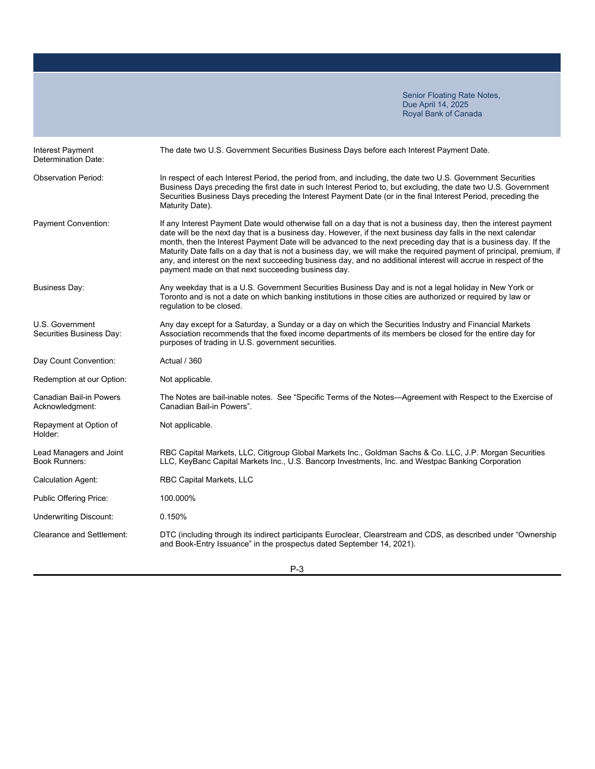| <b>Interest Payment</b><br>Determination Date:    | The date two U.S. Government Securities Business Days before each Interest Payment Date.                                                                                                                                                                                                                                                                                                                                                                                                                                                                                                                                                               |
|---------------------------------------------------|--------------------------------------------------------------------------------------------------------------------------------------------------------------------------------------------------------------------------------------------------------------------------------------------------------------------------------------------------------------------------------------------------------------------------------------------------------------------------------------------------------------------------------------------------------------------------------------------------------------------------------------------------------|
| <b>Observation Period:</b>                        | In respect of each Interest Period, the period from, and including, the date two U.S. Government Securities<br>Business Days preceding the first date in such Interest Period to, but excluding, the date two U.S. Government<br>Securities Business Days preceding the Interest Payment Date (or in the final Interest Period, preceding the<br>Maturity Date).                                                                                                                                                                                                                                                                                       |
| Payment Convention:                               | If any Interest Payment Date would otherwise fall on a day that is not a business day, then the interest payment<br>date will be the next day that is a business day. However, if the next business day falls in the next calendar<br>month, then the Interest Payment Date will be advanced to the next preceding day that is a business day. If the<br>Maturity Date falls on a day that is not a business day, we will make the required payment of principal, premium, if<br>any, and interest on the next succeeding business day, and no additional interest will accrue in respect of the<br>payment made on that next succeeding business day. |
| <b>Business Day:</b>                              | Any weekday that is a U.S. Government Securities Business Day and is not a legal holiday in New York or<br>Toronto and is not a date on which banking institutions in those cities are authorized or required by law or<br>regulation to be closed.                                                                                                                                                                                                                                                                                                                                                                                                    |
| U.S. Government<br>Securities Business Day:       | Any day except for a Saturday, a Sunday or a day on which the Securities Industry and Financial Markets<br>Association recommends that the fixed income departments of its members be closed for the entire day for<br>purposes of trading in U.S. government securities.                                                                                                                                                                                                                                                                                                                                                                              |
| Day Count Convention:                             | Actual / 360                                                                                                                                                                                                                                                                                                                                                                                                                                                                                                                                                                                                                                           |
| Redemption at our Option:                         | Not applicable.                                                                                                                                                                                                                                                                                                                                                                                                                                                                                                                                                                                                                                        |
| <b>Canadian Bail-in Powers</b><br>Acknowledgment: | The Notes are bail-inable notes. See "Specific Terms of the Notes—Agreement with Respect to the Exercise of<br>Canadian Bail-in Powers".                                                                                                                                                                                                                                                                                                                                                                                                                                                                                                               |
| Repayment at Option of<br>Holder:                 | Not applicable.                                                                                                                                                                                                                                                                                                                                                                                                                                                                                                                                                                                                                                        |
| Lead Managers and Joint<br><b>Book Runners:</b>   | RBC Capital Markets, LLC, Citigroup Global Markets Inc., Goldman Sachs & Co. LLC, J.P. Morgan Securities<br>LLC, KeyBanc Capital Markets Inc., U.S. Bancorp Investments, Inc. and Westpac Banking Corporation                                                                                                                                                                                                                                                                                                                                                                                                                                          |
| <b>Calculation Agent:</b>                         | <b>RBC Capital Markets, LLC</b>                                                                                                                                                                                                                                                                                                                                                                                                                                                                                                                                                                                                                        |
| Public Offering Price:                            | 100.000%                                                                                                                                                                                                                                                                                                                                                                                                                                                                                                                                                                                                                                               |
| <b>Underwriting Discount:</b>                     | 0.150%                                                                                                                                                                                                                                                                                                                                                                                                                                                                                                                                                                                                                                                 |
| Clearance and Settlement:                         | DTC (including through its indirect participants Euroclear, Clearstream and CDS, as described under "Ownership<br>and Book-Entry Issuance" in the prospectus dated September 14, 2021).                                                                                                                                                                                                                                                                                                                                                                                                                                                                |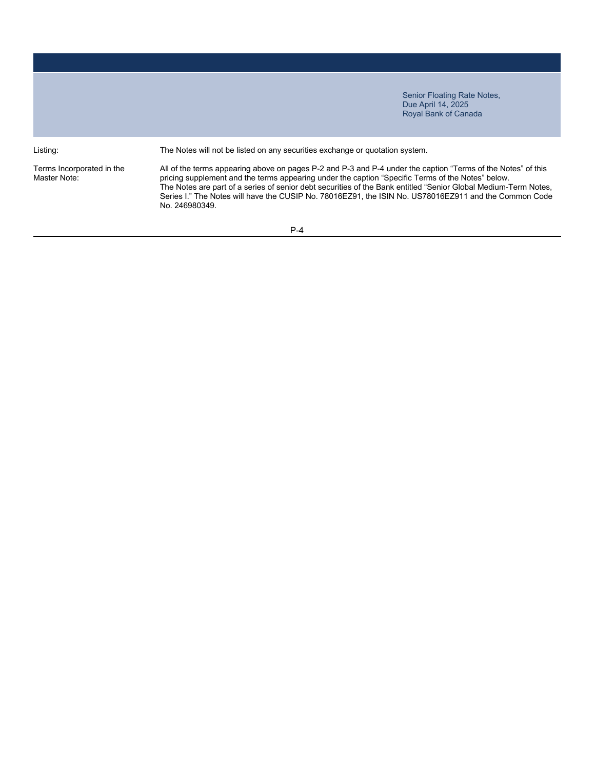Terms Incorporated in the Master Note:

Listing: The Notes will not be listed on any securities exchange or quotation system.

All of the terms appearing above on pages P-2 and P-3 and P-4 under the caption "Terms of the Notes" of this pricing supplement and the terms appearing under the caption "Specific Terms of the Notes" below. The Notes are part of a series of senior debt securities of the Bank entitled "Senior Global Medium-Term Notes, Series I." The Notes will have the CUSIP No. 78016EZ91, the ISIN No. US78016EZ911 and the Common Code No. 246980349.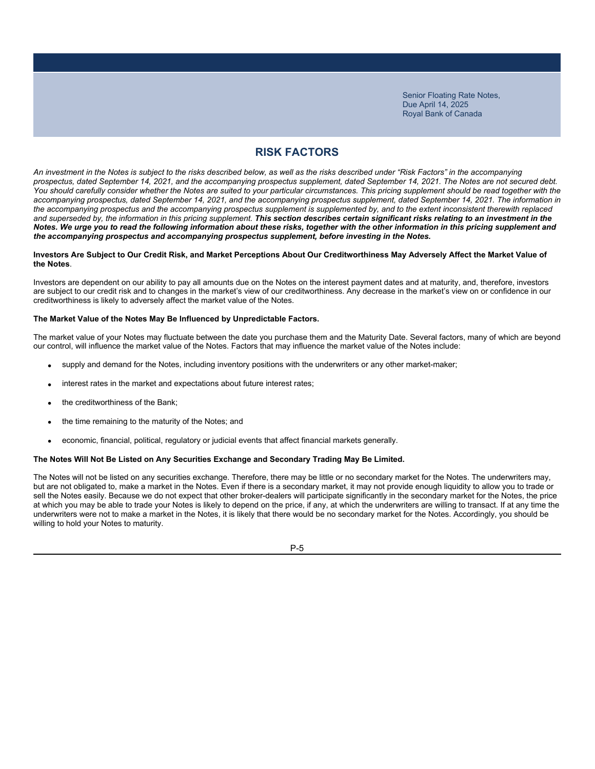# **RISK FACTORS**

*An investment in the Notes is subject to the risks described below, as well as the risks described under "Risk Factors" in the accompanying prospectus, dated September 14, 2021, and the accompanying prospectus supplement, dated September 14, 2021. The Notes are not secured debt.*  You should carefully consider whether the Notes are suited to your particular circumstances. This pricing supplement should be read together with the *accompanying prospectus, dated September 14, 2021, and the accompanying prospectus supplement, dated September 14, 2021. The information in the accompanying prospectus and the accompanying prospectus supplement is supplemented by, and to the extent inconsistent therewith replaced*  and superseded by, the information in this pricing supplement. This section describes certain significant risks relating to an investment in the *Notes. We urge you to read the following information about these risks, together with the other information in this pricing supplement and the accompanying prospectus and accompanying prospectus supplement, before investing in the Notes.*

### **Investors Are Subject to Our Credit Risk, and Market Perceptions About Our Creditworthiness May Adversely Affect the Market Value of the Notes**.

Investors are dependent on our ability to pay all amounts due on the Notes on the interest payment dates and at maturity, and, therefore, investors are subject to our credit risk and to changes in the market's view of our creditworthiness. Any decrease in the market's view on or confidence in our creditworthiness is likely to adversely affect the market value of the Notes.

### **The Market Value of the Notes May Be Influenced by Unpredictable Factors.**

The market value of your Notes may fluctuate between the date you purchase them and the Maturity Date. Several factors, many of which are beyond our control, will influence the market value of the Notes. Factors that may influence the market value of the Notes include:

- supply and demand for the Notes, including inventory positions with the underwriters or any other market-maker;
- interest rates in the market and expectations about future interest rates;
- the creditworthiness of the Bank;
- the time remaining to the maturity of the Notes; and
- economic, financial, political, regulatory or judicial events that affect financial markets generally.

### **The Notes Will Not Be Listed on Any Securities Exchange and Secondary Trading May Be Limited.**

The Notes will not be listed on any securities exchange. Therefore, there may be little or no secondary market for the Notes. The underwriters may, but are not obligated to, make a market in the Notes. Even if there is a secondary market, it may not provide enough liquidity to allow you to trade or sell the Notes easily. Because we do not expect that other broker-dealers will participate significantly in the secondary market for the Notes, the price at which you may be able to trade your Notes is likely to depend on the price, if any, at which the underwriters are willing to transact. If at any time the underwriters were not to make a market in the Notes, it is likely that there would be no secondary market for the Notes. Accordingly, you should be willing to hold your Notes to maturity.

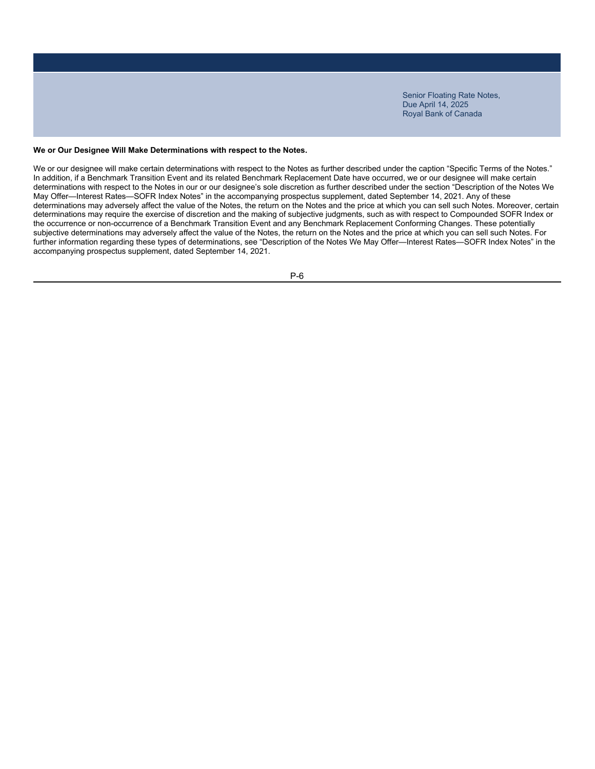### **We or Our Designee Will Make Determinations with respect to the Notes.**

We or our designee will make certain determinations with respect to the Notes as further described under the caption "Specific Terms of the Notes." In addition, if a Benchmark Transition Event and its related Benchmark Replacement Date have occurred, we or our designee will make certain determinations with respect to the Notes in our or our designee's sole discretion as further described under the section "Description of the Notes We May Offer—Interest Rates—SOFR Index Notes" in the accompanying prospectus supplement, dated September 14, 2021. Any of these determinations may adversely affect the value of the Notes, the return on the Notes and the price at which you can sell such Notes. Moreover, certain determinations may require the exercise of discretion and the making of subjective judgments, such as with respect to Compounded SOFR Index or the occurrence or non-occurrence of a Benchmark Transition Event and any Benchmark Replacement Conforming Changes. These potentially subjective determinations may adversely affect the value of the Notes, the return on the Notes and the price at which you can sell such Notes. For further information regarding these types of determinations, see "Description of the Notes We May Offer—Interest Rates—SOFR Index Notes" in the accompanying prospectus supplement, dated September 14, 2021.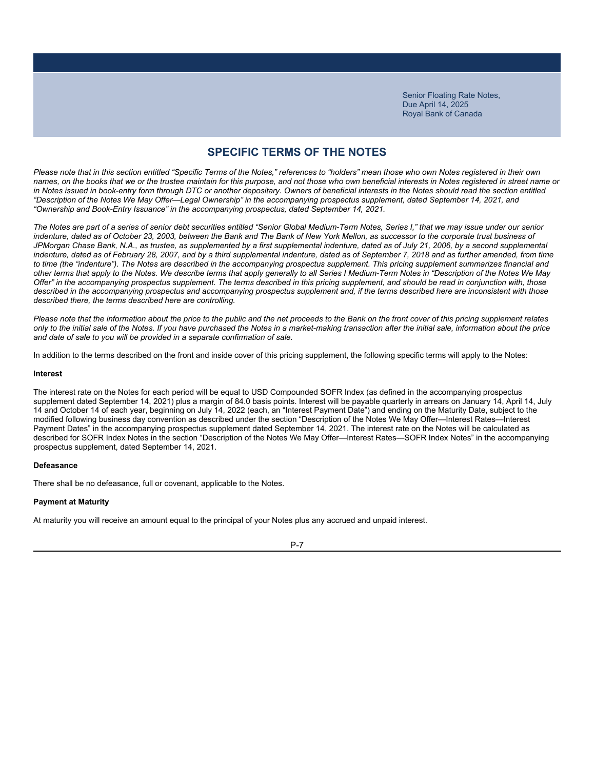# **SPECIFIC TERMS OF THE NOTES**

*Please note that in this section entitled "Specific Terms of the Notes," references to "holders" mean those who own Notes registered in their own names, on the books that we or the trustee maintain for this purpose, and not those who own beneficial interests in Notes registered in street name or*  in Notes issued in book-entry form through DTC or another depositary. Owners of beneficial interests in the Notes should read the section entitled *"Description of the Notes We May Offer—Legal Ownership" in the accompanying prospectus supplement, dated September 14, 2021, and "Ownership and Book-Entry Issuance" in the accompanying prospectus, dated September 14, 2021.*

*The Notes are part of a series of senior debt securities entitled "Senior Global Medium-Term Notes, Series I," that we may issue under our senior*  indenture, dated as of October 23, 2003, between the Bank and The Bank of New York Mellon, as successor to the corporate trust business of *JPMorgan Chase Bank, N.A., as trustee, as supplemented by a first supplemental indenture, dated as of July 21, 2006, by a second supplemental* indenture, dated as of February 28, 2007, and by a third supplemental indenture, dated as of September 7, 2018 and as further amended, from time *to time (the "indenture"). The Notes are described in the accompanying prospectus supplement. This pricing supplement summarizes financial and other terms that apply to the Notes. We describe terms that apply generally to all Series I Medium-Term Notes in "Description of the Notes We May Offer" in the accompanying prospectus supplement. The terms described in this pricing supplement, and should be read in conjunction with, those described in the accompanying prospectus and accompanying prospectus supplement and, if the terms described here are inconsistent with those described there, the terms described here are controlling.*

*Please note that the information about the price to the public and the net proceeds to the Bank on the front cover of this pricing supplement relates only to the initial sale of the Notes. If you have purchased the Notes in a market-making transaction after the initial sale, information about the price and date of sale to you will be provided in a separate confirmation of sale.*

In addition to the terms described on the front and inside cover of this pricing supplement, the following specific terms will apply to the Notes:

#### **Interest**

The interest rate on the Notes for each period will be equal to USD Compounded SOFR Index (as defined in the accompanying prospectus supplement dated September 14, 2021) plus a margin of 84.0 basis points. Interest will be payable quarterly in arrears on January 14, April 14, July 14 and October 14 of each year, beginning on July 14, 2022 (each, an "Interest Payment Date") and ending on the Maturity Date, subject to the modified following business day convention as described under the section "Description of the Notes We May Offer—Interest Rates—Interest Payment Dates" in the accompanying prospectus supplement dated September 14, 2021. The interest rate on the Notes will be calculated as described for SOFR Index Notes in the section "Description of the Notes We May Offer—Interest Rates—SOFR Index Notes" in the accompanying prospectus supplement, dated September 14, 2021.

#### **Defeasance**

There shall be no defeasance, full or covenant, applicable to the Notes.

#### **Payment at Maturity**

At maturity you will receive an amount equal to the principal of your Notes plus any accrued and unpaid interest.

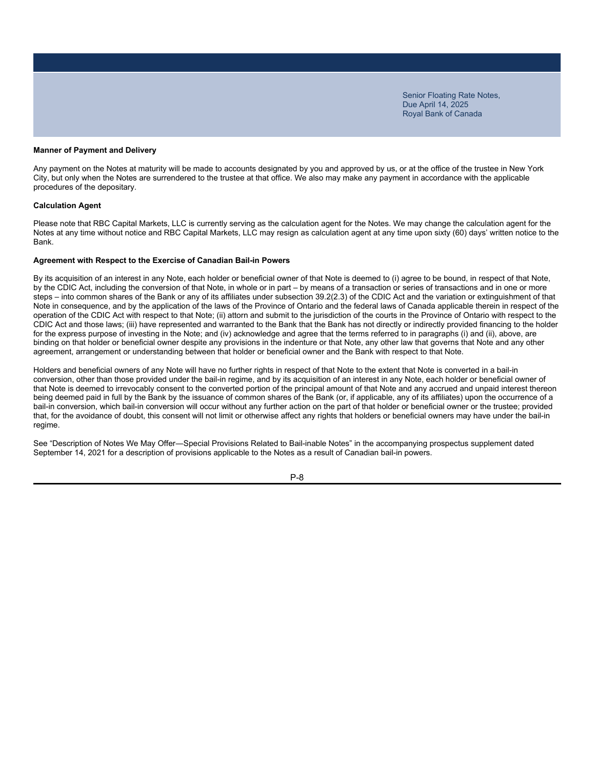#### **Manner of Payment and Delivery**

Any payment on the Notes at maturity will be made to accounts designated by you and approved by us, or at the office of the trustee in New York City, but only when the Notes are surrendered to the trustee at that office. We also may make any payment in accordance with the applicable procedures of the depositary.

#### **Calculation Agent**

Please note that RBC Capital Markets, LLC is currently serving as the calculation agent for the Notes. We may change the calculation agent for the Notes at any time without notice and RBC Capital Markets, LLC may resign as calculation agent at any time upon sixty (60) days' written notice to the Bank.

#### **Agreement with Respect to the Exercise of Canadian Bail-in Powers**

By its acquisition of an interest in any Note, each holder or beneficial owner of that Note is deemed to (i) agree to be bound, in respect of that Note, by the CDIC Act, including the conversion of that Note, in whole or in part – by means of a transaction or series of transactions and in one or more steps – into common shares of the Bank or any of its affiliates under subsection 39.2(2.3) of the CDIC Act and the variation or extinguishment of that Note in consequence, and by the application of the laws of the Province of Ontario and the federal laws of Canada applicable therein in respect of the operation of the CDIC Act with respect to that Note; (ii) attorn and submit to the jurisdiction of the courts in the Province of Ontario with respect to the CDIC Act and those laws; (iii) have represented and warranted to the Bank that the Bank has not directly or indirectly provided financing to the holder for the express purpose of investing in the Note; and (iv) acknowledge and agree that the terms referred to in paragraphs (i) and (ii), above, are binding on that holder or beneficial owner despite any provisions in the indenture or that Note, any other law that governs that Note and any other agreement, arrangement or understanding between that holder or beneficial owner and the Bank with respect to that Note.

Holders and beneficial owners of any Note will have no further rights in respect of that Note to the extent that Note is converted in a bail-in conversion, other than those provided under the bail-in regime, and by its acquisition of an interest in any Note, each holder or beneficial owner of that Note is deemed to irrevocably consent to the converted portion of the principal amount of that Note and any accrued and unpaid interest thereon being deemed paid in full by the Bank by the issuance of common shares of the Bank (or, if applicable, any of its affiliates) upon the occurrence of a bail-in conversion, which bail-in conversion will occur without any further action on the part of that holder or beneficial owner or the trustee; provided that, for the avoidance of doubt, this consent will not limit or otherwise affect any rights that holders or beneficial owners may have under the bail-in regime.

See "Description of Notes We May Offer―Special Provisions Related to Bail-inable Notes" in the accompanying prospectus supplement dated September 14, 2021 for a description of provisions applicable to the Notes as a result of Canadian bail-in powers.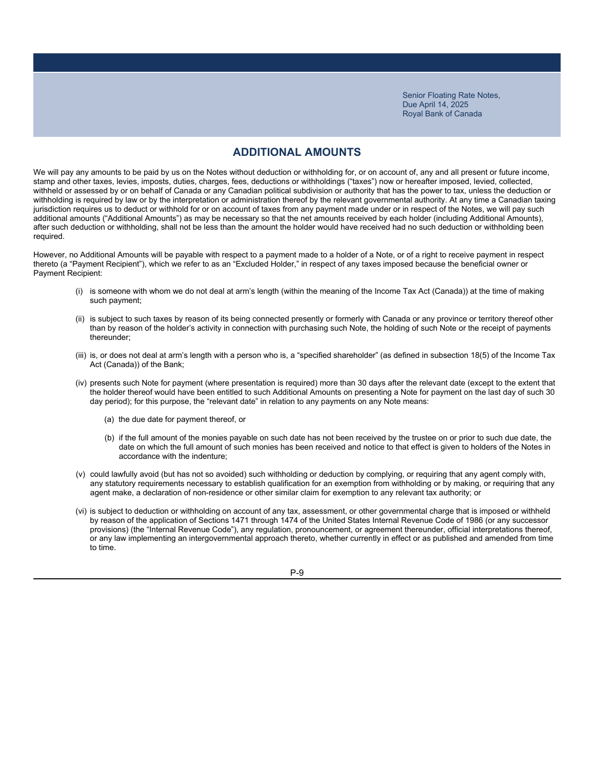### **ADDITIONAL AMOUNTS**

We will pay any amounts to be paid by us on the Notes without deduction or withholding for, or on account of, any and all present or future income, stamp and other taxes, levies, imposts, duties, charges, fees, deductions or withholdings ("taxes") now or hereafter imposed, levied, collected, withheld or assessed by or on behalf of Canada or any Canadian political subdivision or authority that has the power to tax, unless the deduction or withholding is required by law or by the interpretation or administration thereof by the relevant governmental authority. At any time a Canadian taxing jurisdiction requires us to deduct or withhold for or on account of taxes from any payment made under or in respect of the Notes, we will pay such additional amounts ("Additional Amounts") as may be necessary so that the net amounts received by each holder (including Additional Amounts), after such deduction or withholding, shall not be less than the amount the holder would have received had no such deduction or withholding been required.

However, no Additional Amounts will be payable with respect to a payment made to a holder of a Note, or of a right to receive payment in respect thereto (a "Payment Recipient"), which we refer to as an "Excluded Holder," in respect of any taxes imposed because the beneficial owner or Payment Recipient:

- (i) is someone with whom we do not deal at arm's length (within the meaning of the Income Tax Act (Canada)) at the time of making such payment;
- (ii) is subject to such taxes by reason of its being connected presently or formerly with Canada or any province or territory thereof other than by reason of the holder's activity in connection with purchasing such Note, the holding of such Note or the receipt of payments thereunder;
- (iii) is, or does not deal at arm's length with a person who is, a "specified shareholder" (as defined in subsection 18(5) of the Income Tax Act (Canada)) of the Bank;
- (iv) presents such Note for payment (where presentation is required) more than 30 days after the relevant date (except to the extent that the holder thereof would have been entitled to such Additional Amounts on presenting a Note for payment on the last day of such 30 day period); for this purpose, the "relevant date" in relation to any payments on any Note means:
	- (a) the due date for payment thereof, or
	- (b) if the full amount of the monies payable on such date has not been received by the trustee on or prior to such due date, the date on which the full amount of such monies has been received and notice to that effect is given to holders of the Notes in accordance with the indenture;
- (v) could lawfully avoid (but has not so avoided) such withholding or deduction by complying, or requiring that any agent comply with, any statutory requirements necessary to establish qualification for an exemption from withholding or by making, or requiring that any agent make, a declaration of non-residence or other similar claim for exemption to any relevant tax authority; or
- (vi) is subject to deduction or withholding on account of any tax, assessment, or other governmental charge that is imposed or withheld by reason of the application of Sections 1471 through 1474 of the United States Internal Revenue Code of 1986 (or any successor provisions) (the "Internal Revenue Code"), any regulation, pronouncement, or agreement thereunder, official interpretations thereof, or any law implementing an intergovernmental approach thereto, whether currently in effect or as published and amended from time to time.

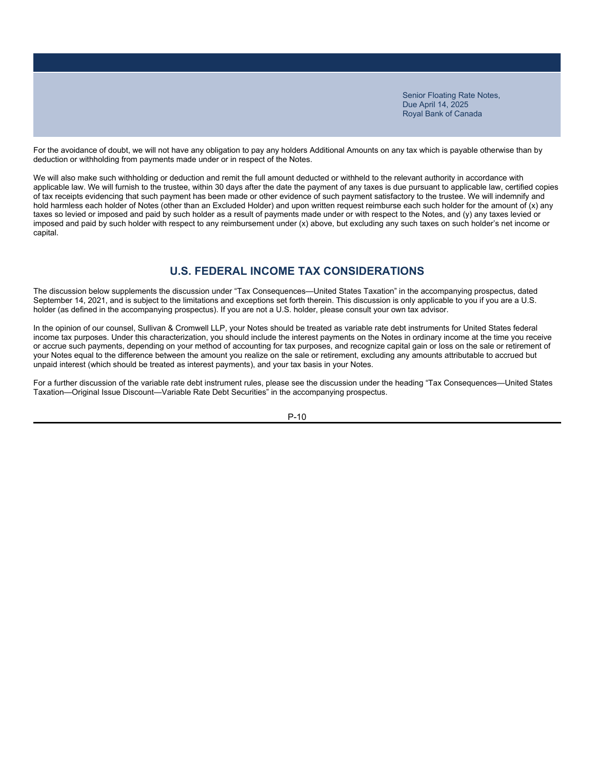For the avoidance of doubt, we will not have any obligation to pay any holders Additional Amounts on any tax which is payable otherwise than by deduction or withholding from payments made under or in respect of the Notes.

We will also make such withholding or deduction and remit the full amount deducted or withheld to the relevant authority in accordance with applicable law. We will furnish to the trustee, within 30 days after the date the payment of any taxes is due pursuant to applicable law, certified copies of tax receipts evidencing that such payment has been made or other evidence of such payment satisfactory to the trustee. We will indemnify and hold harmless each holder of Notes (other than an Excluded Holder) and upon written request reimburse each such holder for the amount of (x) any taxes so levied or imposed and paid by such holder as a result of payments made under or with respect to the Notes, and (y) any taxes levied or imposed and paid by such holder with respect to any reimbursement under (x) above, but excluding any such taxes on such holder's net income or capital.

# **U.S. FEDERAL INCOME TAX CONSIDERATIONS**

The discussion below supplements the discussion under "Tax Consequences—United States Taxation" in the accompanying prospectus, dated September 14, 2021, and is subject to the limitations and exceptions set forth therein. This discussion is only applicable to you if you are a U.S. holder (as defined in the accompanying prospectus). If you are not a U.S. holder, please consult your own tax advisor.

In the opinion of our counsel, Sullivan & Cromwell LLP, your Notes should be treated as variable rate debt instruments for United States federal income tax purposes. Under this characterization, you should include the interest payments on the Notes in ordinary income at the time you receive or accrue such payments, depending on your method of accounting for tax purposes, and recognize capital gain or loss on the sale or retirement of your Notes equal to the difference between the amount you realize on the sale or retirement, excluding any amounts attributable to accrued but unpaid interest (which should be treated as interest payments), and your tax basis in your Notes.

For a further discussion of the variable rate debt instrument rules, please see the discussion under the heading "Tax Consequences—United States Taxation—Original Issue Discount—Variable Rate Debt Securities" in the accompanying prospectus.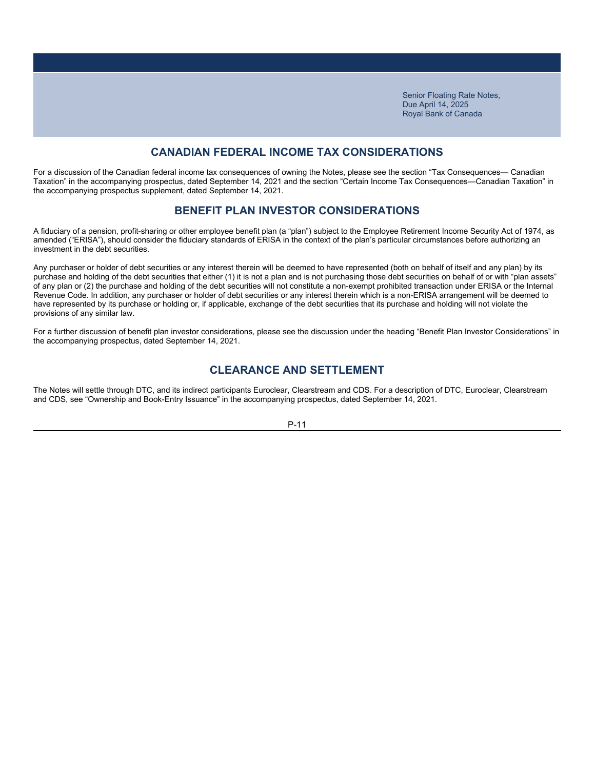# **CANADIAN FEDERAL INCOME TAX CONSIDERATIONS**

For a discussion of the Canadian federal income tax consequences of owning the Notes, please see the section "Tax Consequences— Canadian Taxation" in the accompanying prospectus, dated September 14, 2021 and the section "Certain Income Tax Consequences—Canadian Taxation" in the accompanying prospectus supplement, dated September 14, 2021.

### **BENEFIT PLAN INVESTOR CONSIDERATIONS**

A fiduciary of a pension, profit-sharing or other employee benefit plan (a "plan") subject to the Employee Retirement Income Security Act of 1974, as amended ("ERISA"), should consider the fiduciary standards of ERISA in the context of the plan's particular circumstances before authorizing an investment in the debt securities.

Any purchaser or holder of debt securities or any interest therein will be deemed to have represented (both on behalf of itself and any plan) by its purchase and holding of the debt securities that either (1) it is not a plan and is not purchasing those debt securities on behalf of or with "plan assets" of any plan or (2) the purchase and holding of the debt securities will not constitute a non-exempt prohibited transaction under ERISA or the Internal Revenue Code. In addition, any purchaser or holder of debt securities or any interest therein which is a non-ERISA arrangement will be deemed to have represented by its purchase or holding or, if applicable, exchange of the debt securities that its purchase and holding will not violate the provisions of any similar law.

For a further discussion of benefit plan investor considerations, please see the discussion under the heading "Benefit Plan Investor Considerations" in the accompanying prospectus, dated September 14, 2021.

### **CLEARANCE AND SETTLEMENT**

The Notes will settle through DTC, and its indirect participants Euroclear, Clearstream and CDS. For a description of DTC, Euroclear, Clearstream and CDS, see "Ownership and Book-Entry Issuance" in the accompanying prospectus, dated September 14, 2021.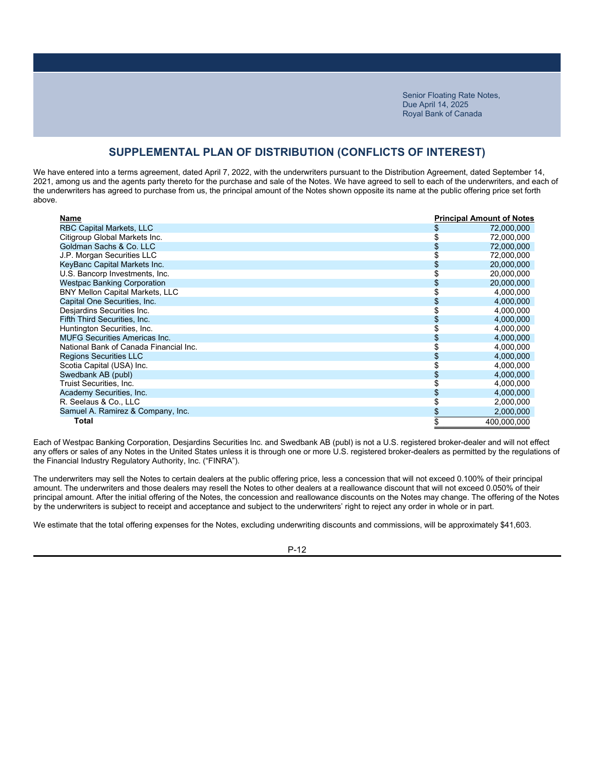# **SUPPLEMENTAL PLAN OF DISTRIBUTION (CONFLICTS OF INTEREST)**

We have entered into a terms agreement, dated April 7, 2022, with the underwriters pursuant to the Distribution Agreement, dated September 14, 2021, among us and the agents party thereto for the purchase and sale of the Notes. We have agreed to sell to each of the underwriters, and each of the underwriters has agreed to purchase from us, the principal amount of the Notes shown opposite its name at the public offering price set forth above.

| Name                                   |    | <b>Principal Amount of Notes</b> |
|----------------------------------------|----|----------------------------------|
| <b>RBC Capital Markets, LLC</b>        | \$ | 72,000,000                       |
| Citigroup Global Markets Inc.          |    | 72,000,000                       |
| Goldman Sachs & Co. LLC                | \$ | 72,000,000                       |
| J.P. Morgan Securities LLC             |    | 72,000,000                       |
| KeyBanc Capital Markets Inc.           | S  | 20,000,000                       |
| U.S. Bancorp Investments, Inc.         |    | 20,000,000                       |
| <b>Westpac Banking Corporation</b>     |    | 20,000,000                       |
| <b>BNY Mellon Capital Markets, LLC</b> |    | 4,000,000                        |
| Capital One Securities, Inc.           |    | 4,000,000                        |
| Desjardins Securities Inc.             |    | 4,000,000                        |
| Fifth Third Securities, Inc.           |    | 4,000,000                        |
| Huntington Securities, Inc.            |    | 4,000,000                        |
| <b>MUFG Securities Americas Inc.</b>   | \$ | 4,000,000                        |
| National Bank of Canada Financial Inc. |    | 4,000,000                        |
| Regions Securities LLC                 |    | 4,000,000                        |
| Scotia Capital (USA) Inc.              |    | 4,000,000                        |
| Swedbank AB (publ)                     |    | 4,000,000                        |
| Truist Securities, Inc.                | ኌ  | 4,000,000                        |
| Academy Securities, Inc.               |    | 4,000,000                        |
| R. Seelaus & Co., LLC                  |    | 2,000,000                        |
| Samuel A. Ramirez & Company, Inc.      | \$ | 2,000,000                        |
| Total                                  | \$ | 400.000.000                      |

Each of Westpac Banking Corporation, Desjardins Securities Inc. and Swedbank AB (publ) is not a U.S. registered broker-dealer and will not effect any offers or sales of any Notes in the United States unless it is through one or more U.S. registered broker-dealers as permitted by the regulations of the Financial Industry Regulatory Authority, Inc. ("FINRA").

The underwriters may sell the Notes to certain dealers at the public offering price, less a concession that will not exceed 0.100% of their principal amount. The underwriters and those dealers may resell the Notes to other dealers at a reallowance discount that will not exceed 0.050% of their principal amount. After the initial offering of the Notes, the concession and reallowance discounts on the Notes may change. The offering of the Notes by the underwriters is subject to receipt and acceptance and subject to the underwriters' right to reject any order in whole or in part.

We estimate that the total offering expenses for the Notes, excluding underwriting discounts and commissions, will be approximately \$41,603.

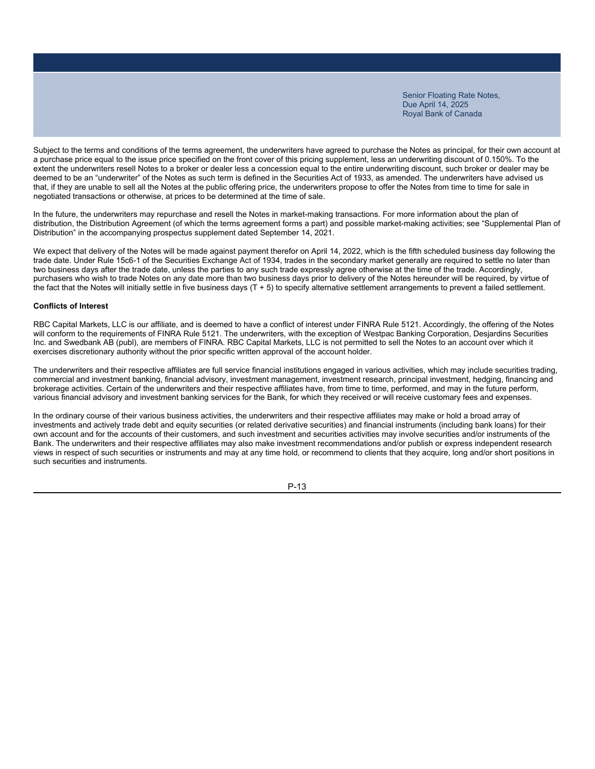Subject to the terms and conditions of the terms agreement, the underwriters have agreed to purchase the Notes as principal, for their own account at a purchase price equal to the issue price specified on the front cover of this pricing supplement, less an underwriting discount of 0.150%. To the extent the underwriters resell Notes to a broker or dealer less a concession equal to the entire underwriting discount, such broker or dealer may be deemed to be an "underwriter" of the Notes as such term is defined in the Securities Act of 1933, as amended. The underwriters have advised us that, if they are unable to sell all the Notes at the public offering price, the underwriters propose to offer the Notes from time to time for sale in negotiated transactions or otherwise, at prices to be determined at the time of sale.

In the future, the underwriters may repurchase and resell the Notes in market-making transactions. For more information about the plan of distribution, the Distribution Agreement (of which the terms agreement forms a part) and possible market-making activities; see "Supplemental Plan of Distribution" in the accompanying prospectus supplement dated September 14, 2021.

We expect that delivery of the Notes will be made against payment therefor on April 14, 2022, which is the fifth scheduled business day following the trade date. Under Rule 15c6-1 of the Securities Exchange Act of 1934, trades in the secondary market generally are required to settle no later than two business days after the trade date, unless the parties to any such trade expressly agree otherwise at the time of the trade. Accordingly, purchasers who wish to trade Notes on any date more than two business days prior to delivery of the Notes hereunder will be required, by virtue of the fact that the Notes will initially settle in five business days (T + 5) to specify alternative settlement arrangements to prevent a failed settlement.

### **Conflicts of Interest**

RBC Capital Markets, LLC is our affiliate, and is deemed to have a conflict of interest under FINRA Rule 5121. Accordingly, the offering of the Notes will conform to the requirements of FINRA Rule 5121. The underwriters, with the exception of Westpac Banking Corporation, Desiardins Securities Inc. and Swedbank AB (publ), are members of FINRA. RBC Capital Markets, LLC is not permitted to sell the Notes to an account over which it exercises discretionary authority without the prior specific written approval of the account holder.

The underwriters and their respective affiliates are full service financial institutions engaged in various activities, which may include securities trading, commercial and investment banking, financial advisory, investment management, investment research, principal investment, hedging, financing and brokerage activities. Certain of the underwriters and their respective affiliates have, from time to time, performed, and may in the future perform, various financial advisory and investment banking services for the Bank, for which they received or will receive customary fees and expenses.

In the ordinary course of their various business activities, the underwriters and their respective affiliates may make or hold a broad array of investments and actively trade debt and equity securities (or related derivative securities) and financial instruments (including bank loans) for their own account and for the accounts of their customers, and such investment and securities activities may involve securities and/or instruments of the Bank. The underwriters and their respective affiliates may also make investment recommendations and/or publish or express independent research views in respect of such securities or instruments and may at any time hold, or recommend to clients that they acquire, long and/or short positions in such securities and instruments.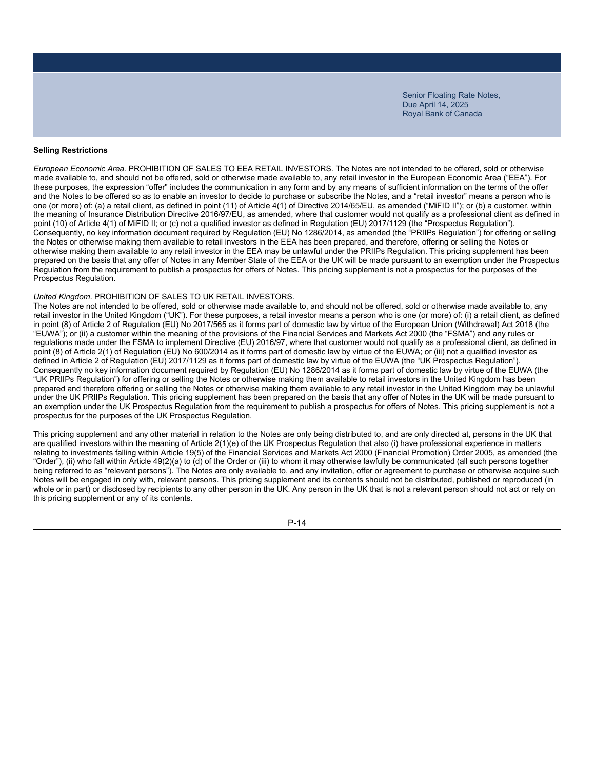### **Selling Restrictions**

*European Economic Area.* PROHIBITION OF SALES TO EEA RETAIL INVESTORS. The Notes are not intended to be offered, sold or otherwise made available to, and should not be offered, sold or otherwise made available to, any retail investor in the European Economic Area ("EEA"). For these purposes, the expression "offer" includes the communication in any form and by any means of sufficient information on the terms of the offer and the Notes to be offered so as to enable an investor to decide to purchase or subscribe the Notes, and a "retail investor" means a person who is one (or more) of: (a) a retail client, as defined in point (11) of Article 4(1) of Directive 2014/65/EU, as amended ("MiFID II"); or (b) a customer, within the meaning of Insurance Distribution Directive 2016/97/EU, as amended, where that customer would not qualify as a professional client as defined in point (10) of Article 4(1) of MiFID II; or (c) not a qualified investor as defined in Regulation (EU) 2017/1129 (the "Prospectus Regulation"). Consequently, no key information document required by Regulation (EU) No 1286/2014, as amended (the "PRIIPs Regulation") for offering or selling the Notes or otherwise making them available to retail investors in the EEA has been prepared, and therefore, offering or selling the Notes or otherwise making them available to any retail investor in the EEA may be unlawful under the PRIIPs Regulation. This pricing supplement has been prepared on the basis that any offer of Notes in any Member State of the EEA or the UK will be made pursuant to an exemption under the Prospectus Regulation from the requirement to publish a prospectus for offers of Notes. This pricing supplement is not a prospectus for the purposes of the Prospectus Regulation.

#### *United Kingdom*. PROHIBITION OF SALES TO UK RETAIL INVESTORS.

The Notes are not intended to be offered, sold or otherwise made available to, and should not be offered, sold or otherwise made available to, any retail investor in the United Kingdom ("UK"). For these purposes, a retail investor means a person who is one (or more) of: (i) a retail client, as defined in point (8) of Article 2 of Regulation (EU) No 2017/565 as it forms part of domestic law by virtue of the European Union (Withdrawal) Act 2018 (the "EUWA"); or (ii) a customer within the meaning of the provisions of the Financial Services and Markets Act 2000 (the "FSMA") and any rules or regulations made under the FSMA to implement Directive (EU) 2016/97, where that customer would not qualify as a professional client, as defined in point (8) of Article 2(1) of Regulation (EU) No 600/2014 as it forms part of domestic law by virtue of the EUWA; or (iii) not a qualified investor as defined in Article 2 of Regulation (EU) 2017/1129 as it forms part of domestic law by virtue of the EUWA (the "UK Prospectus Regulation"). Consequently no key information document required by Regulation (EU) No 1286/2014 as it forms part of domestic law by virtue of the EUWA (the "UK PRIIPs Regulation") for offering or selling the Notes or otherwise making them available to retail investors in the United Kingdom has been prepared and therefore offering or selling the Notes or otherwise making them available to any retail investor in the United Kingdom may be unlawful under the UK PRIIPs Regulation. This pricing supplement has been prepared on the basis that any offer of Notes in the UK will be made pursuant to an exemption under the UK Prospectus Regulation from the requirement to publish a prospectus for offers of Notes. This pricing supplement is not a prospectus for the purposes of the UK Prospectus Regulation.

This pricing supplement and any other material in relation to the Notes are only being distributed to, and are only directed at, persons in the UK that are qualified investors within the meaning of Article 2(1)(e) of the UK Prospectus Regulation that also (i) have professional experience in matters relating to investments falling within Article 19(5) of the Financial Services and Markets Act 2000 (Financial Promotion) Order 2005, as amended (the "Order"), (ii) who fall within Article 49(2)(a) to (d) of the Order or (iii) to whom it may otherwise lawfully be communicated (all such persons together being referred to as "relevant persons"). The Notes are only available to, and any invitation, offer or agreement to purchase or otherwise acquire such Notes will be engaged in only with, relevant persons. This pricing supplement and its contents should not be distributed, published or reproduced (in whole or in part) or disclosed by recipients to any other person in the UK. Any person in the UK that is not a relevant person should not act or rely on this pricing supplement or any of its contents.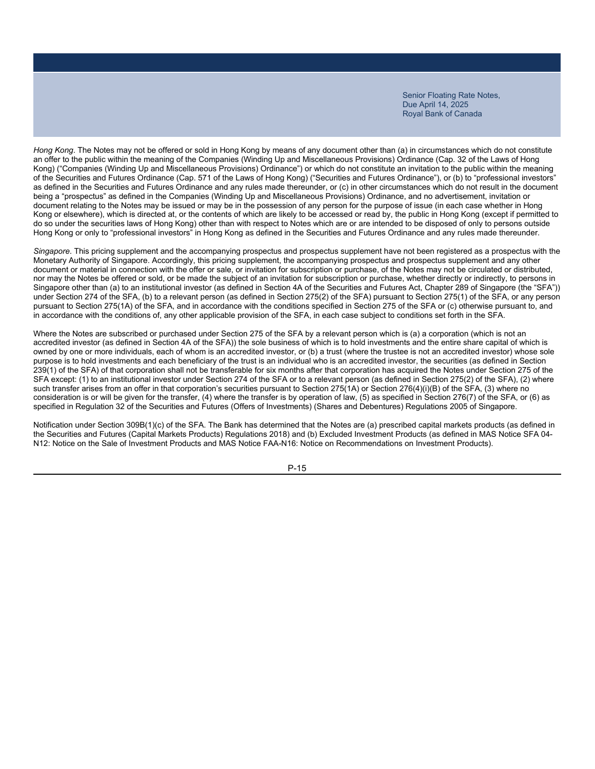*Hong Kong*. The Notes may not be offered or sold in Hong Kong by means of any document other than (a) in circumstances which do not constitute an offer to the public within the meaning of the Companies (Winding Up and Miscellaneous Provisions) Ordinance (Cap. 32 of the Laws of Hong Kong) ("Companies (Winding Up and Miscellaneous Provisions) Ordinance") or which do not constitute an invitation to the public within the meaning of the Securities and Futures Ordinance (Cap. 571 of the Laws of Hong Kong) ("Securities and Futures Ordinance"), or (b) to "professional investors" as defined in the Securities and Futures Ordinance and any rules made thereunder, or (c) in other circumstances which do not result in the document being a "prospectus" as defined in the Companies (Winding Up and Miscellaneous Provisions) Ordinance, and no advertisement, invitation or document relating to the Notes may be issued or may be in the possession of any person for the purpose of issue (in each case whether in Hong Kong or elsewhere), which is directed at, or the contents of which are likely to be accessed or read by, the public in Hong Kong (except if permitted to do so under the securities laws of Hong Kong) other than with respect to Notes which are or are intended to be disposed of only to persons outside Hong Kong or only to "professional investors" in Hong Kong as defined in the Securities and Futures Ordinance and any rules made thereunder.

*Singapore*. This pricing supplement and the accompanying prospectus and prospectus supplement have not been registered as a prospectus with the Monetary Authority of Singapore. Accordingly, this pricing supplement, the accompanying prospectus and prospectus supplement and any other document or material in connection with the offer or sale, or invitation for subscription or purchase, of the Notes may not be circulated or distributed, nor may the Notes be offered or sold, or be made the subject of an invitation for subscription or purchase, whether directly or indirectly, to persons in Singapore other than (a) to an institutional investor (as defined in Section 4A of the Securities and Futures Act, Chapter 289 of Singapore (the "SFA")) under Section 274 of the SFA, (b) to a relevant person (as defined in Section 275(2) of the SFA) pursuant to Section 275(1) of the SFA, or any person pursuant to Section 275(1A) of the SFA, and in accordance with the conditions specified in Section 275 of the SFA or (c) otherwise pursuant to, and in accordance with the conditions of, any other applicable provision of the SFA, in each case subject to conditions set forth in the SFA.

Where the Notes are subscribed or purchased under Section 275 of the SFA by a relevant person which is (a) a corporation (which is not an accredited investor (as defined in Section 4A of the SFA)) the sole business of which is to hold investments and the entire share capital of which is owned by one or more individuals, each of whom is an accredited investor, or (b) a trust (where the trustee is not an accredited investor) whose sole purpose is to hold investments and each beneficiary of the trust is an individual who is an accredited investor, the securities (as defined in Section 239(1) of the SFA) of that corporation shall not be transferable for six months after that corporation has acquired the Notes under Section 275 of the SFA except: (1) to an institutional investor under Section 274 of the SFA or to a relevant person (as defined in Section 275(2) of the SFA), (2) where such transfer arises from an offer in that corporation's securities pursuant to Section 275(1A) or Section 276(4)(i)(B) of the SFA, (3) where no consideration is or will be given for the transfer, (4) where the transfer is by operation of law, (5) as specified in Section 276(7) of the SFA, or (6) as specified in Regulation 32 of the Securities and Futures (Offers of Investments) (Shares and Debentures) Regulations 2005 of Singapore.

Notification under Section 309B(1)(c) of the SFA. The Bank has determined that the Notes are (a) prescribed capital markets products (as defined in the Securities and Futures (Capital Markets Products) Regulations 2018) and (b) Excluded Investment Products (as defined in MAS Notice SFA 04- N12: Notice on the Sale of Investment Products and MAS Notice FAA-N16: Notice on Recommendations on Investment Products).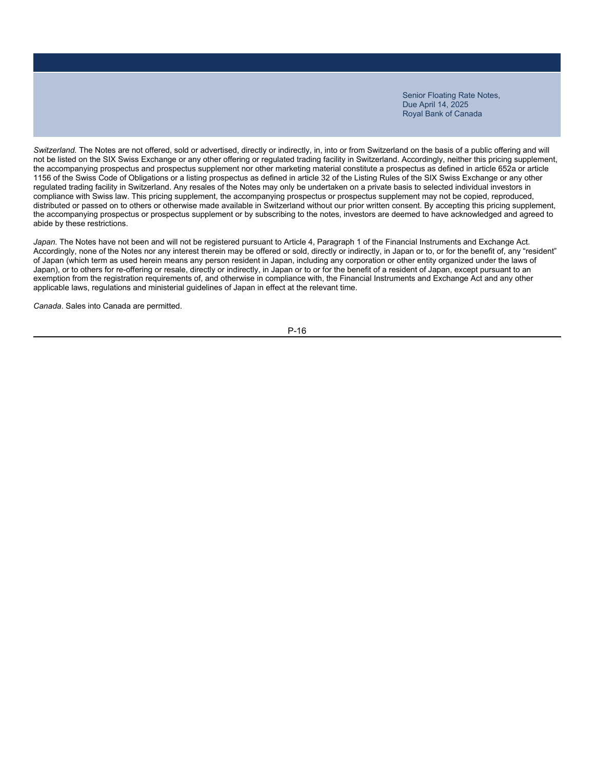*Switzerland.* The Notes are not offered, sold or advertised, directly or indirectly, in, into or from Switzerland on the basis of a public offering and will not be listed on the SIX Swiss Exchange or any other offering or regulated trading facility in Switzerland. Accordingly, neither this pricing supplement, the accompanying prospectus and prospectus supplement nor other marketing material constitute a prospectus as defined in article 652a or article 1156 of the Swiss Code of Obligations or a listing prospectus as defined in article 32 of the Listing Rules of the SIX Swiss Exchange or any other regulated trading facility in Switzerland. Any resales of the Notes may only be undertaken on a private basis to selected individual investors in compliance with Swiss law. This pricing supplement, the accompanying prospectus or prospectus supplement may not be copied, reproduced, distributed or passed on to others or otherwise made available in Switzerland without our prior written consent. By accepting this pricing supplement, the accompanying prospectus or prospectus supplement or by subscribing to the notes, investors are deemed to have acknowledged and agreed to abide by these restrictions.

Japan. The Notes have not been and will not be registered pursuant to Article 4, Paragraph 1 of the Financial Instruments and Exchange Act. Accordingly, none of the Notes nor any interest therein may be offered or sold, directly or indirectly, in Japan or to, or for the benefit of, any "resident" of Japan (which term as used herein means any person resident in Japan, including any corporation or other entity organized under the laws of Japan), or to others for re-offering or resale, directly or indirectly, in Japan or to or for the benefit of a resident of Japan, except pursuant to an exemption from the registration requirements of, and otherwise in compliance with, the Financial Instruments and Exchange Act and any other applicable laws, regulations and ministerial guidelines of Japan in effect at the relevant time.

*Canada*. Sales into Canada are permitted.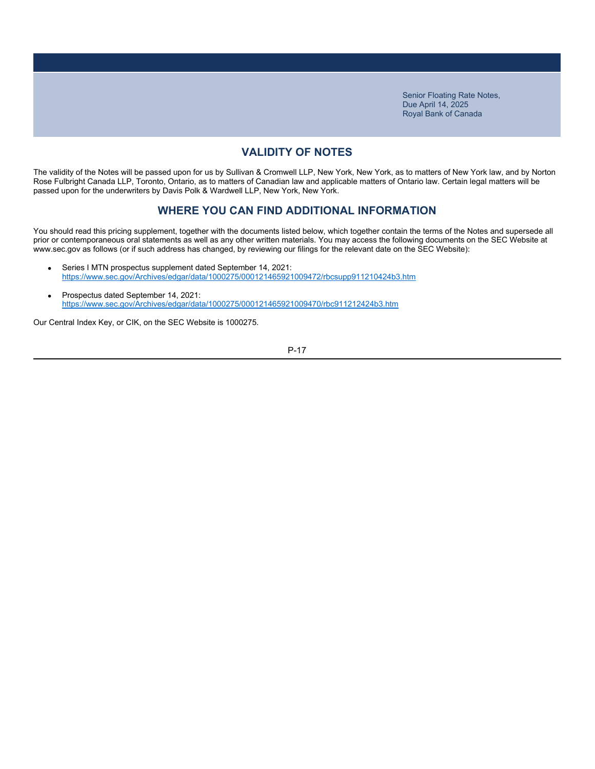# **VALIDITY OF NOTES**

The validity of the Notes will be passed upon for us by Sullivan & Cromwell LLP, New York, New York, as to matters of New York law, and by Norton Rose Fulbright Canada LLP, Toronto, Ontario, as to matters of Canadian law and applicable matters of Ontario law. Certain legal matters will be passed upon for the underwriters by Davis Polk & Wardwell LLP, New York, New York.

### **WHERE YOU CAN FIND ADDITIONAL INFORMATION**

You should read this pricing supplement, together with the documents listed below, which together contain the terms of the Notes and supersede all prior or contemporaneous oral statements as well as any other written materials. You may access the following documents on the SEC Website at www.sec.gov as follows (or if such address has changed, by reviewing our filings for the relevant date on the SEC Website):

- Series I MTN prospectus supplement dated September 14, 2021: https://www.sec.gov/Archives/edgar/data/1000275/000121465921009472/rbcsupp911210424b3.htm
- Prospectus dated September 14, 2021: https://www.sec.gov/Archives/edgar/data/1000275/000121465921009470/rbc911212424b3.htm

Our Central Index Key, or CIK, on the SEC Website is 1000275.